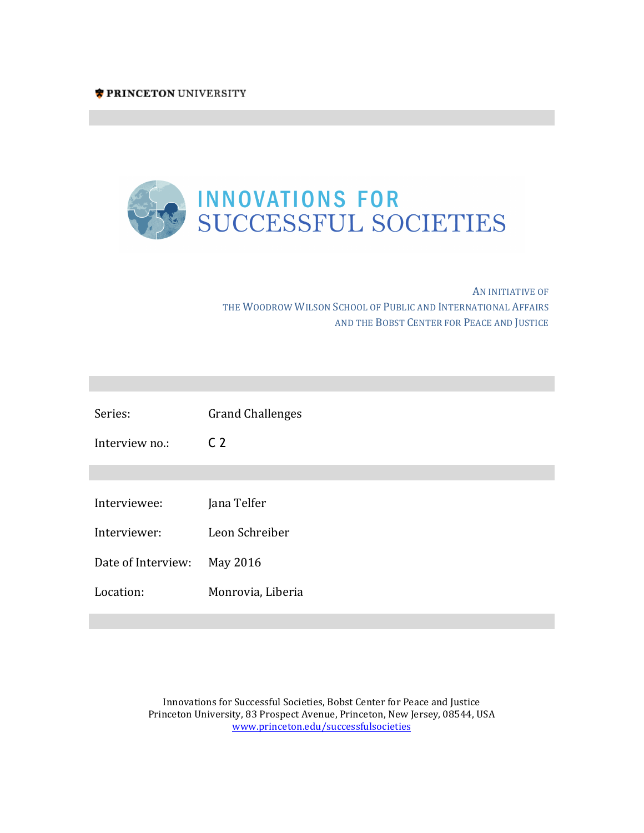

AN INITIATIVE OF THE WOODROW WILSON SCHOOL OF PUBLIC AND INTERNATIONAL AFFAIRS AND THE BOBST CENTER FOR PEACE AND JUSTICE

**Innovations for Successful Societies Innovations for Successful Societies**

**Innovations for Successful Societies Innovations for Successful Societies**

| Series:            | <b>Grand Challenges</b> |
|--------------------|-------------------------|
| Interview no.:     | C <sub>2</sub>          |
|                    |                         |
| Interviewee:       | Jana Telfer             |
| Interviewer:       | Leon Schreiber          |
| Date of Interview: | May 2016                |
| Location:          | Monrovia, Liberia       |
|                    |                         |

Innovations for Successful Societies, Bobst Center for Peace and Justice Princeton University, 83 Prospect Avenue, Princeton, New Jersey, 08544, USA www.princeton.edu/successfulsocieties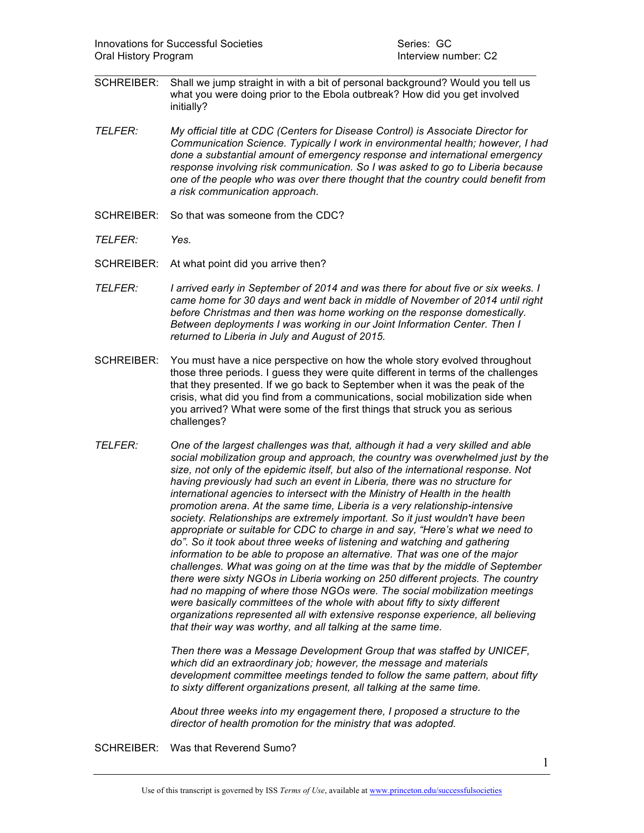SCHREIBER: Shall we jump straight in with a bit of personal background? Would you tell us what you were doing prior to the Ebola outbreak? How did you get involved initially?

 $\mathcal{L}_\text{max}$  and  $\mathcal{L}_\text{max}$  and  $\mathcal{L}_\text{max}$  and  $\mathcal{L}_\text{max}$  and  $\mathcal{L}_\text{max}$  and  $\mathcal{L}_\text{max}$ 

- *TELFER: My official title at CDC (Centers for Disease Control) is Associate Director for Communication Science. Typically I work in environmental health; however, I had done a substantial amount of emergency response and international emergency response involving risk communication. So I was asked to go to Liberia because one of the people who was over there thought that the country could benefit from a risk communication approach.*
- SCHREIBER: So that was someone from the CDC?
- *TELFER: Yes.*
- SCHREIBER: At what point did you arrive then?
- *TELFER: I arrived early in September of 2014 and was there for about five or six weeks. I came home for 30 days and went back in middle of November of 2014 until right before Christmas and then was home working on the response domestically. Between deployments I was working in our Joint Information Center. Then I returned to Liberia in July and August of 2015.*
- SCHREIBER: You must have a nice perspective on how the whole story evolved throughout those three periods. I guess they were quite different in terms of the challenges that they presented. If we go back to September when it was the peak of the crisis, what did you find from a communications, social mobilization side when you arrived? What were some of the first things that struck you as serious challenges?
- *TELFER: One of the largest challenges was that, although it had a very skilled and able social mobilization group and approach, the country was overwhelmed just by the size, not only of the epidemic itself, but also of the international response. Not having previously had such an event in Liberia, there was no structure for international agencies to intersect with the Ministry of Health in the health promotion arena. At the same time, Liberia is a very relationship-intensive society. Relationships are extremely important. So it just wouldn't have been appropriate or suitable for CDC to charge in and say, "Here's what we need to do". So it took about three weeks of listening and watching and gathering information to be able to propose an alternative. That was one of the major challenges. What was going on at the time was that by the middle of September there were sixty NGOs in Liberia working on 250 different projects. The country had no mapping of where those NGOs were. The social mobilization meetings were basically committees of the whole with about fifty to sixty different organizations represented all with extensive response experience, all believing that their way was worthy, and all talking at the same time.*

*Then there was a Message Development Group that was staffed by UNICEF, which did an extraordinary job; however, the message and materials development committee meetings tended to follow the same pattern, about fifty to sixty different organizations present, all talking at the same time.* 

*About three weeks into my engagement there, I proposed a structure to the director of health promotion for the ministry that was adopted.* 

SCHREIBER: Was that Reverend Sumo?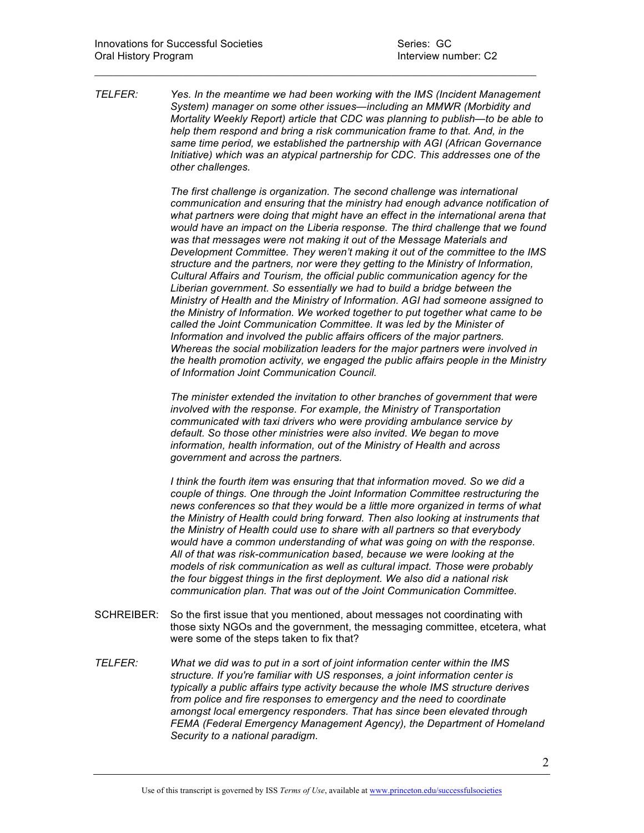*TELFER: Yes. In the meantime we had been working with the IMS (Incident Management System) manager on some other issues—including an MMWR (Morbidity and Mortality Weekly Report) article that CDC was planning to publish—to be able to help them respond and bring a risk communication frame to that. And, in the same time period, we established the partnership with AGI (African Governance Initiative) which was an atypical partnership for CDC. This addresses one of the other challenges.* 

 $\mathcal{L}_\text{max}$  and  $\mathcal{L}_\text{max}$  and  $\mathcal{L}_\text{max}$  and  $\mathcal{L}_\text{max}$  and  $\mathcal{L}_\text{max}$  and  $\mathcal{L}_\text{max}$ 

*The first challenge is organization. The second challenge was international communication and ensuring that the ministry had enough advance notification of what partners were doing that might have an effect in the international arena that would have an impact on the Liberia response. The third challenge that we found was that messages were not making it out of the Message Materials and Development Committee. They weren't making it out of the committee to the IMS structure and the partners, nor were they getting to the Ministry of Information, Cultural Affairs and Tourism, the official public communication agency for the Liberian government. So essentially we had to build a bridge between the Ministry of Health and the Ministry of Information. AGI had someone assigned to the Ministry of Information. We worked together to put together what came to be called the Joint Communication Committee. It was led by the Minister of Information and involved the public affairs officers of the major partners. Whereas the social mobilization leaders for the major partners were involved in the health promotion activity, we engaged the public affairs people in the Ministry of Information Joint Communication Council.* 

*The minister extended the invitation to other branches of government that were involved with the response. For example, the Ministry of Transportation communicated with taxi drivers who were providing ambulance service by default. So those other ministries were also invited. We began to move information, health information, out of the Ministry of Health and across government and across the partners.* 

*I think the fourth item was ensuring that that information moved. So we did a couple of things. One through the Joint Information Committee restructuring the news conferences so that they would be a little more organized in terms of what the Ministry of Health could bring forward. Then also looking at instruments that the Ministry of Health could use to share with all partners so that everybody would have a common understanding of what was going on with the response. All of that was risk-communication based, because we were looking at the models of risk communication as well as cultural impact. Those were probably the four biggest things in the first deployment. We also did a national risk communication plan. That was out of the Joint Communication Committee.* 

- SCHREIBER: So the first issue that you mentioned, about messages not coordinating with those sixty NGOs and the government, the messaging committee, etcetera, what were some of the steps taken to fix that?
- *TELFER: What we did was to put in a sort of joint information center within the IMS structure. If you're familiar with US responses, a joint information center is typically a public affairs type activity because the whole IMS structure derives from police and fire responses to emergency and the need to coordinate amongst local emergency responders. That has since been elevated through FEMA (Federal Emergency Management Agency), the Department of Homeland Security to a national paradigm.*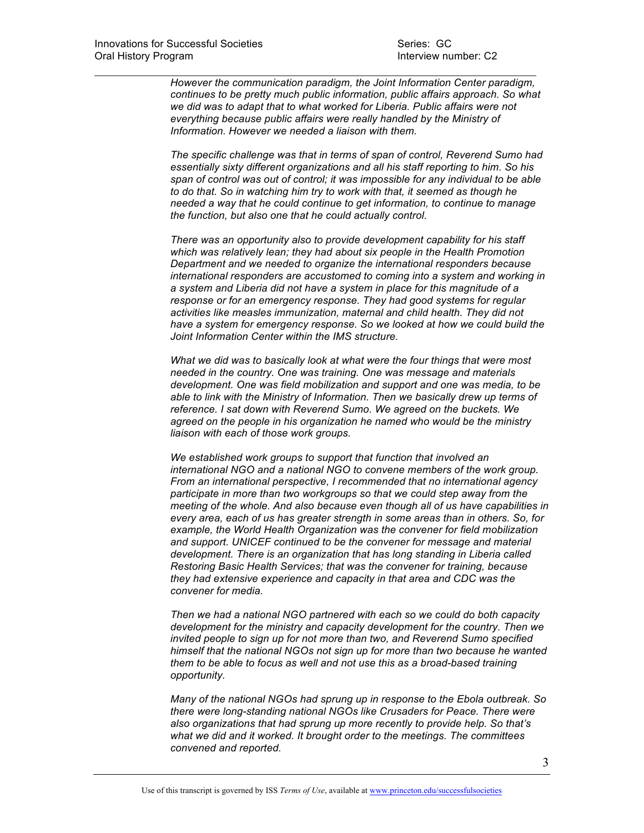*However the communication paradigm, the Joint Information Center paradigm, continues to be pretty much public information, public affairs approach. So what we did was to adapt that to what worked for Liberia. Public affairs were not everything because public affairs were really handled by the Ministry of Information. However we needed a liaison with them.* 

 $\mathcal{L}_\text{max}$  and  $\mathcal{L}_\text{max}$  and  $\mathcal{L}_\text{max}$  and  $\mathcal{L}_\text{max}$  and  $\mathcal{L}_\text{max}$  and  $\mathcal{L}_\text{max}$ 

*The specific challenge was that in terms of span of control, Reverend Sumo had essentially sixty different organizations and all his staff reporting to him. So his span of control was out of control; it was impossible for any individual to be able to do that. So in watching him try to work with that, it seemed as though he needed a way that he could continue to get information, to continue to manage the function, but also one that he could actually control.* 

*There was an opportunity also to provide development capability for his staff which was relatively lean; they had about six people in the Health Promotion Department and we needed to organize the international responders because international responders are accustomed to coming into a system and working in a system and Liberia did not have a system in place for this magnitude of a response or for an emergency response. They had good systems for regular activities like measles immunization, maternal and child health. They did not have a system for emergency response. So we looked at how we could build the Joint Information Center within the IMS structure.* 

*What we did was to basically look at what were the four things that were most needed in the country. One was training. One was message and materials development. One was field mobilization and support and one was media, to be able to link with the Ministry of Information. Then we basically drew up terms of reference. I sat down with Reverend Sumo. We agreed on the buckets. We agreed on the people in his organization he named who would be the ministry liaison with each of those work groups.* 

*We established work groups to support that function that involved an international NGO and a national NGO to convene members of the work group. From an international perspective, I recommended that no international agency participate in more than two workgroups so that we could step away from the meeting of the whole. And also because even though all of us have capabilities in every area, each of us has greater strength in some areas than in others. So, for example, the World Health Organization was the convener for field mobilization and support. UNICEF continued to be the convener for message and material development. There is an organization that has long standing in Liberia called Restoring Basic Health Services; that was the convener for training, because they had extensive experience and capacity in that area and CDC was the convener for media.* 

*Then we had a national NGO partnered with each so we could do both capacity development for the ministry and capacity development for the country. Then we invited people to sign up for not more than two, and Reverend Sumo specified himself that the national NGOs not sign up for more than two because he wanted them to be able to focus as well and not use this as a broad-based training opportunity.* 

*Many of the national NGOs had sprung up in response to the Ebola outbreak. So there were long-standing national NGOs like Crusaders for Peace. There were also organizations that had sprung up more recently to provide help. So that's what we did and it worked. It brought order to the meetings. The committees convened and reported.*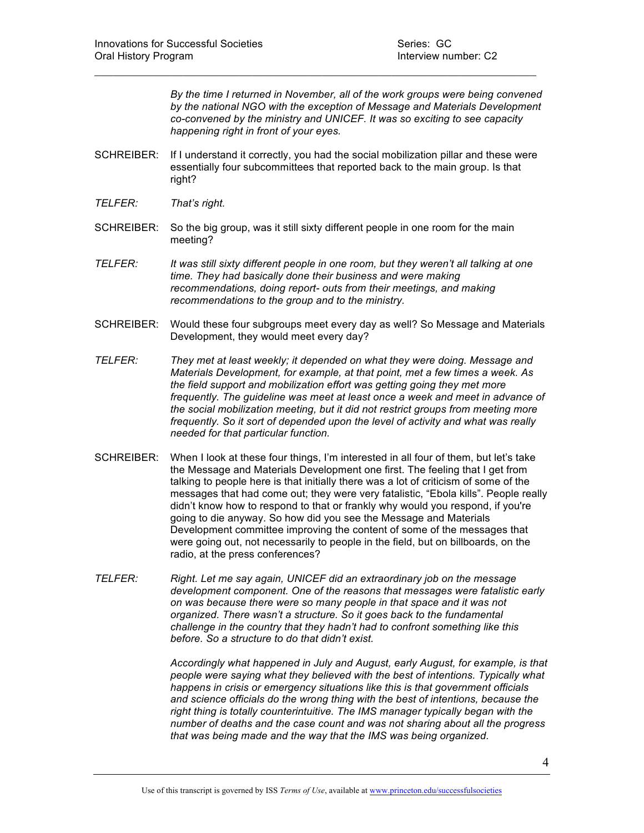*By the time I returned in November, all of the work groups were being convened by the national NGO with the exception of Message and Materials Development co-convened by the ministry and UNICEF. It was so exciting to see capacity happening right in front of your eyes.* 

SCHREIBER: If I understand it correctly, you had the social mobilization pillar and these were essentially four subcommittees that reported back to the main group. Is that right?

 $\mathcal{L}_\text{max}$  and  $\mathcal{L}_\text{max}$  and  $\mathcal{L}_\text{max}$  and  $\mathcal{L}_\text{max}$  and  $\mathcal{L}_\text{max}$  and  $\mathcal{L}_\text{max}$ 

- *TELFER: That's right.*
- SCHREIBER: So the big group, was it still sixty different people in one room for the main meeting?
- *TELFER: It was still sixty different people in one room, but they weren't all talking at one time. They had basically done their business and were making recommendations, doing report- outs from their meetings, and making recommendations to the group and to the ministry.*
- SCHREIBER: Would these four subgroups meet every day as well? So Message and Materials Development, they would meet every day?
- *TELFER: They met at least weekly; it depended on what they were doing. Message and Materials Development, for example, at that point, met a few times a week. As the field support and mobilization effort was getting going they met more frequently. The guideline was meet at least once a week and meet in advance of the social mobilization meeting, but it did not restrict groups from meeting more frequently. So it sort of depended upon the level of activity and what was really needed for that particular function.*
- SCHREIBER: When I look at these four things, I'm interested in all four of them, but let's take the Message and Materials Development one first. The feeling that I get from talking to people here is that initially there was a lot of criticism of some of the messages that had come out; they were very fatalistic, "Ebola kills". People really didn't know how to respond to that or frankly why would you respond, if you're going to die anyway. So how did you see the Message and Materials Development committee improving the content of some of the messages that were going out, not necessarily to people in the field, but on billboards, on the radio, at the press conferences?
- *TELFER: Right. Let me say again, UNICEF did an extraordinary job on the message development component. One of the reasons that messages were fatalistic early on was because there were so many people in that space and it was not organized. There wasn't a structure. So it goes back to the fundamental challenge in the country that they hadn't had to confront something like this before. So a structure to do that didn't exist.*

*Accordingly what happened in July and August, early August, for example, is that people were saying what they believed with the best of intentions. Typically what happens in crisis or emergency situations like this is that government officials and science officials do the wrong thing with the best of intentions, because the right thing is totally counterintuitive. The IMS manager typically began with the number of deaths and the case count and was not sharing about all the progress that was being made and the way that the IMS was being organized.*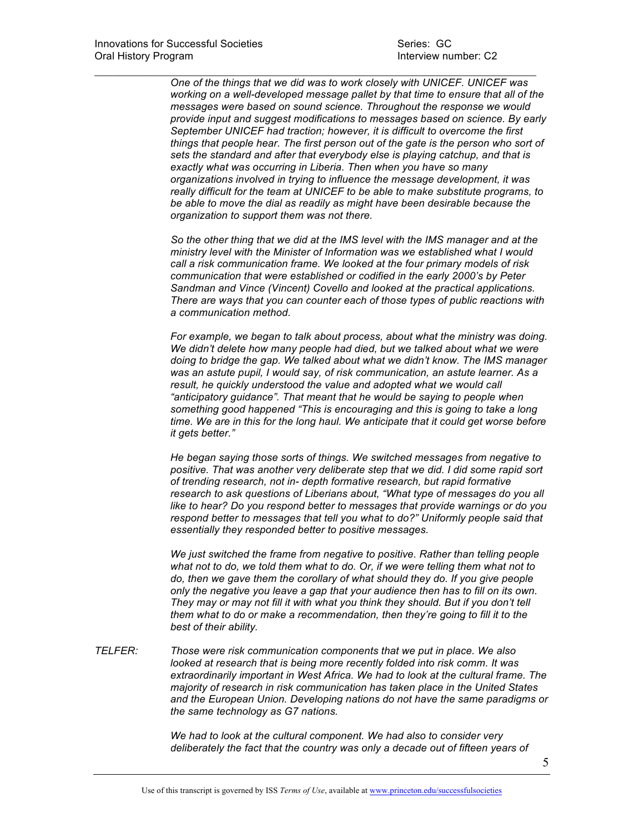*One of the things that we did was to work closely with UNICEF. UNICEF was working on a well-developed message pallet by that time to ensure that all of the messages were based on sound science. Throughout the response we would provide input and suggest modifications to messages based on science. By early September UNICEF had traction; however, it is difficult to overcome the first things that people hear. The first person out of the gate is the person who sort of sets the standard and after that everybody else is playing catchup, and that is exactly what was occurring in Liberia. Then when you have so many organizations involved in trying to influence the message development, it was really difficult for the team at UNICEF to be able to make substitute programs, to be able to move the dial as readily as might have been desirable because the organization to support them was not there.*

 $\mathcal{L}_\text{max}$  and  $\mathcal{L}_\text{max}$  and  $\mathcal{L}_\text{max}$  and  $\mathcal{L}_\text{max}$  and  $\mathcal{L}_\text{max}$  and  $\mathcal{L}_\text{max}$ 

 *So the other thing that we did at the IMS level with the IMS manager and at the ministry level with the Minister of Information was we established what I would call a risk communication frame. We looked at the four primary models of risk communication that were established or codified in the early 2000's by Peter Sandman and Vince (Vincent) Covello and looked at the practical applications. There are ways that you can counter each of those types of public reactions with a communication method.*

*For example, we began to talk about process, about what the ministry was doing. We didn't delete how many people had died, but we talked about what we were doing to bridge the gap. We talked about what we didn't know. The IMS manager was an astute pupil, I would say, of risk communication, an astute learner. As a result, he quickly understood the value and adopted what we would call "anticipatory guidance". That meant that he would be saying to people when something good happened "This is encouraging and this is going to take a long time. We are in this for the long haul. We anticipate that it could get worse before it gets better."* 

*He began saying those sorts of things. We switched messages from negative to positive. That was another very deliberate step that we did. I did some rapid sort of trending research, not in- depth formative research, but rapid formative research to ask questions of Liberians about, "What type of messages do you all like to hear? Do you respond better to messages that provide warnings or do you respond better to messages that tell you what to do?" Uniformly people said that essentially they responded better to positive messages.* 

*We just switched the frame from negative to positive. Rather than telling people what not to do, we told them what to do. Or, if we were telling them what not to do, then we gave them the corollary of what should they do. If you give people only the negative you leave a gap that your audience then has to fill on its own. They may or may not fill it with what you think they should. But if you don't tell them what to do or make a recommendation, then they're going to fill it to the best of their ability.* 

*TELFER: Those were risk communication components that we put in place. We also looked at research that is being more recently folded into risk comm. It was extraordinarily important in West Africa. We had to look at the cultural frame. The majority of research in risk communication has taken place in the United States and the European Union. Developing nations do not have the same paradigms or the same technology as G7 nations.* 

> *We had to look at the cultural component. We had also to consider very deliberately the fact that the country was only a decade out of fifteen years of*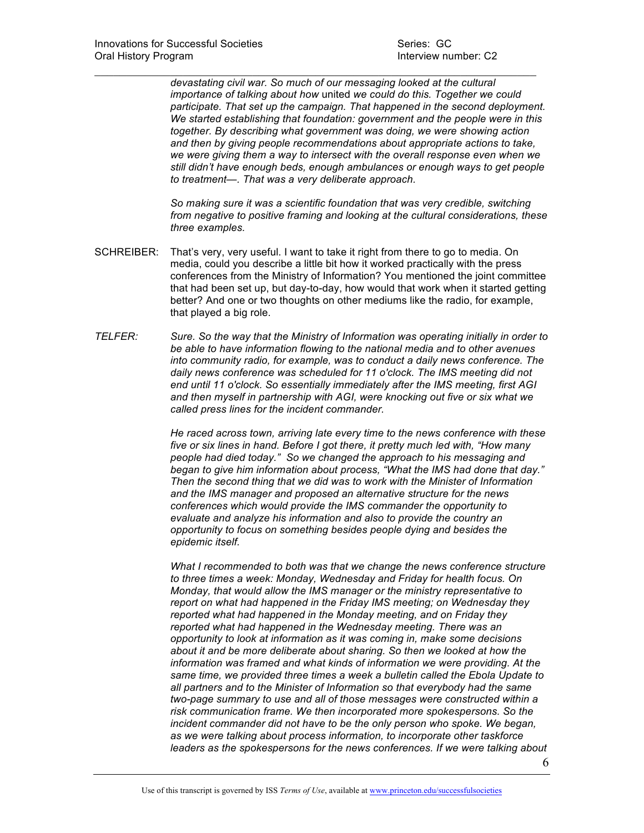*devastating civil war. So much of our messaging looked at the cultural importance of talking about how* united *we could do this. Together we could participate. That set up the campaign. That happened in the second deployment. We started establishing that foundation: government and the people were in this together. By describing what government was doing, we were showing action and then by giving people recommendations about appropriate actions to take, we were giving them a way to intersect with the overall response even when we still didn't have enough beds, enough ambulances or enough ways to get people to treatment—. That was a very deliberate approach.* 

*So making sure it was a scientific foundation that was very credible, switching from negative to positive framing and looking at the cultural considerations, these three examples.* 

SCHREIBER: That's very, very useful. I want to take it right from there to go to media. On media, could you describe a little bit how it worked practically with the press conferences from the Ministry of Information? You mentioned the joint committee that had been set up, but day-to-day, how would that work when it started getting better? And one or two thoughts on other mediums like the radio, for example, that played a big role.

 $\mathcal{L}_\text{max}$  and  $\mathcal{L}_\text{max}$  and  $\mathcal{L}_\text{max}$  and  $\mathcal{L}_\text{max}$  and  $\mathcal{L}_\text{max}$  and  $\mathcal{L}_\text{max}$ 

*TELFER: Sure. So the way that the Ministry of Information was operating initially in order to be able to have information flowing to the national media and to other avenues into community radio, for example, was to conduct a daily news conference. The daily news conference was scheduled for 11 o'clock. The IMS meeting did not end until 11 o'clock. So essentially immediately after the IMS meeting, first AGI and then myself in partnership with AGI, were knocking out five or six what we called press lines for the incident commander.* 

> *He raced across town, arriving late every time to the news conference with these five or six lines in hand. Before I got there, it pretty much led with, "How many people had died today." So we changed the approach to his messaging and began to give him information about process, "What the IMS had done that day." Then the second thing that we did was to work with the Minister of Information and the IMS manager and proposed an alternative structure for the news conferences which would provide the IMS commander the opportunity to evaluate and analyze his information and also to provide the country an opportunity to focus on something besides people dying and besides the epidemic itself.*

> *What I recommended to both was that we change the news conference structure to three times a week: Monday, Wednesday and Friday for health focus. On Monday, that would allow the IMS manager or the ministry representative to report on what had happened in the Friday IMS meeting; on Wednesday they reported what had happened in the Monday meeting, and on Friday they reported what had happened in the Wednesday meeting. There was an opportunity to look at information as it was coming in, make some decisions about it and be more deliberate about sharing. So then we looked at how the information was framed and what kinds of information we were providing. At the same time, we provided three times a week a bulletin called the Ebola Update to all partners and to the Minister of Information so that everybody had the same two-page summary to use and all of those messages were constructed within a risk communication frame. We then incorporated more spokespersons. So the incident commander did not have to be the only person who spoke. We began, as we were talking about process information, to incorporate other taskforce leaders as the spokespersons for the news conferences. If we were talking about*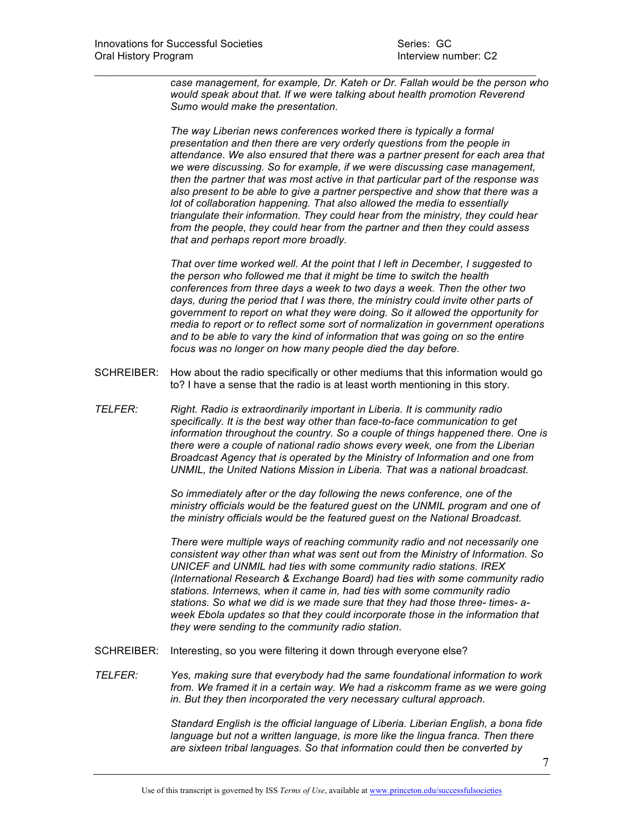*case management, for example, Dr. Kateh or Dr. Fallah would be the person who would speak about that. If we were talking about health promotion Reverend Sumo would make the presentation.* 

 $\mathcal{L}_\text{max}$  and  $\mathcal{L}_\text{max}$  and  $\mathcal{L}_\text{max}$  and  $\mathcal{L}_\text{max}$  and  $\mathcal{L}_\text{max}$  and  $\mathcal{L}_\text{max}$ 

*The way Liberian news conferences worked there is typically a formal presentation and then there are very orderly questions from the people in attendance. We also ensured that there was a partner present for each area that we were discussing. So for example, if we were discussing case management, then the partner that was most active in that particular part of the response was also present to be able to give a partner perspective and show that there was a lot of collaboration happening. That also allowed the media to essentially triangulate their information. They could hear from the ministry, they could hear from the people, they could hear from the partner and then they could assess that and perhaps report more broadly.* 

*That over time worked well. At the point that I left in December, I suggested to the person who followed me that it might be time to switch the health conferences from three days a week to two days a week. Then the other two days, during the period that I was there, the ministry could invite other parts of government to report on what they were doing. So it allowed the opportunity for media to report or to reflect some sort of normalization in government operations and to be able to vary the kind of information that was going on so the entire focus was no longer on how many people died the day before.* 

- SCHREIBER: How about the radio specifically or other mediums that this information would go to? I have a sense that the radio is at least worth mentioning in this story.
- *TELFER: Right. Radio is extraordinarily important in Liberia. It is community radio specifically. It is the best way other than face-to-face communication to get information throughout the country. So a couple of things happened there. One is there were a couple of national radio shows every week, one from the Liberian Broadcast Agency that is operated by the Ministry of Information and one from UNMIL, the United Nations Mission in Liberia. That was a national broadcast.*

*So immediately after or the day following the news conference, one of the ministry officials would be the featured guest on the UNMIL program and one of the ministry officials would be the featured guest on the National Broadcast.* 

*There were multiple ways of reaching community radio and not necessarily one consistent way other than what was sent out from the Ministry of Information. So UNICEF and UNMIL had ties with some community radio stations. IREX (International Research & Exchange Board) had ties with some community radio stations. Internews, when it came in, had ties with some community radio stations. So what we did is we made sure that they had those three- times- aweek Ebola updates so that they could incorporate those in the information that they were sending to the community radio station.* 

- SCHREIBER: Interesting, so you were filtering it down through everyone else?
- *TELFER: Yes, making sure that everybody had the same foundational information to work from. We framed it in a certain way. We had a riskcomm frame as we were going in. But they then incorporated the very necessary cultural approach.*

 *Standard English is the official language of Liberia. Liberian English, a bona fide language but not a written language, is more like the lingua franca. Then there are sixteen tribal languages. So that information could then be converted by*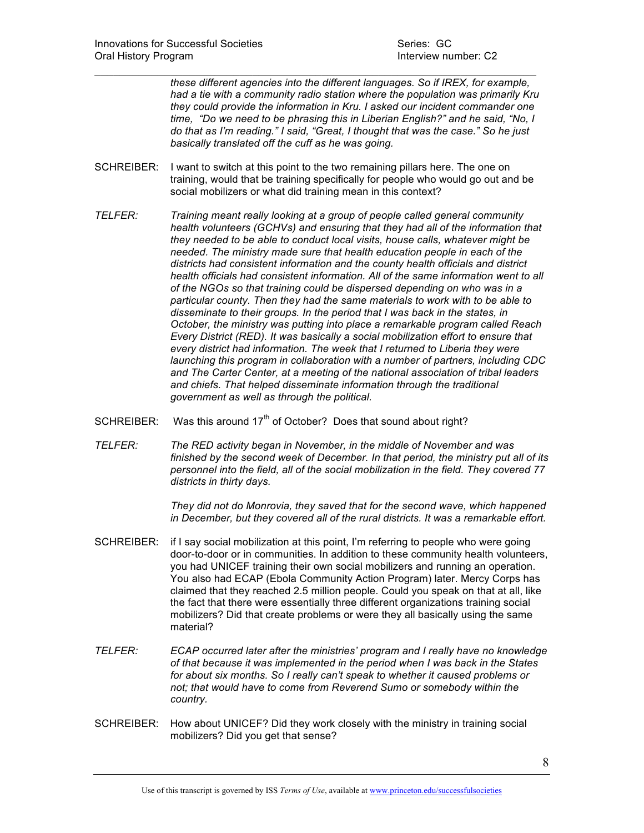*these different agencies into the different languages. So if IREX, for example, had a tie with a community radio station where the population was primarily Kru they could provide the information in Kru. I asked our incident commander one time, "Do we need to be phrasing this in Liberian English?" and he said, "No, I do that as I'm reading." I said, "Great, I thought that was the case." So he just basically translated off the cuff as he was going.* 

SCHREIBER: I want to switch at this point to the two remaining pillars here. The one on training, would that be training specifically for people who would go out and be social mobilizers or what did training mean in this context?

 $\mathcal{L}_\text{max}$  and  $\mathcal{L}_\text{max}$  and  $\mathcal{L}_\text{max}$  and  $\mathcal{L}_\text{max}$  and  $\mathcal{L}_\text{max}$  and  $\mathcal{L}_\text{max}$ 

- *TELFER: Training meant really looking at a group of people called general community health volunteers (GCHVs) and ensuring that they had all of the information that they needed to be able to conduct local visits, house calls, whatever might be needed. The ministry made sure that health education people in each of the districts had consistent information and the county health officials and district health officials had consistent information. All of the same information went to all of the NGOs so that training could be dispersed depending on who was in a particular county. Then they had the same materials to work with to be able to disseminate to their groups. In the period that I was back in the states, in October, the ministry was putting into place a remarkable program called Reach Every District (RED). It was basically a social mobilization effort to ensure that every district had information. The week that I returned to Liberia they were launching this program in collaboration with a number of partners, including CDC and The Carter Center, at a meeting of the national association of tribal leaders and chiefs. That helped disseminate information through the traditional government as well as through the political.*
- SCHREIBER: Was this around  $17<sup>th</sup>$  of October? Does that sound about right?
- *TELFER: The RED activity began in November, in the middle of November and was finished by the second week of December. In that period, the ministry put all of its personnel into the field, all of the social mobilization in the field. They covered 77 districts in thirty days.*

 *They did not do Monrovia, they saved that for the second wave, which happened in December, but they covered all of the rural districts. It was a remarkable effort.* 

- SCHREIBER: if I say social mobilization at this point, I'm referring to people who were going door-to-door or in communities. In addition to these community health volunteers, you had UNICEF training their own social mobilizers and running an operation. You also had ECAP (Ebola Community Action Program) later. Mercy Corps has claimed that they reached 2.5 million people. Could you speak on that at all, like the fact that there were essentially three different organizations training social mobilizers? Did that create problems or were they all basically using the same material?
- *TELFER: ECAP occurred later after the ministries' program and I really have no knowledge of that because it was implemented in the period when I was back in the States for about six months. So I really can't speak to whether it caused problems or not; that would have to come from Reverend Sumo or somebody within the country.*
- SCHREIBER: How about UNICEF? Did they work closely with the ministry in training social mobilizers? Did you get that sense?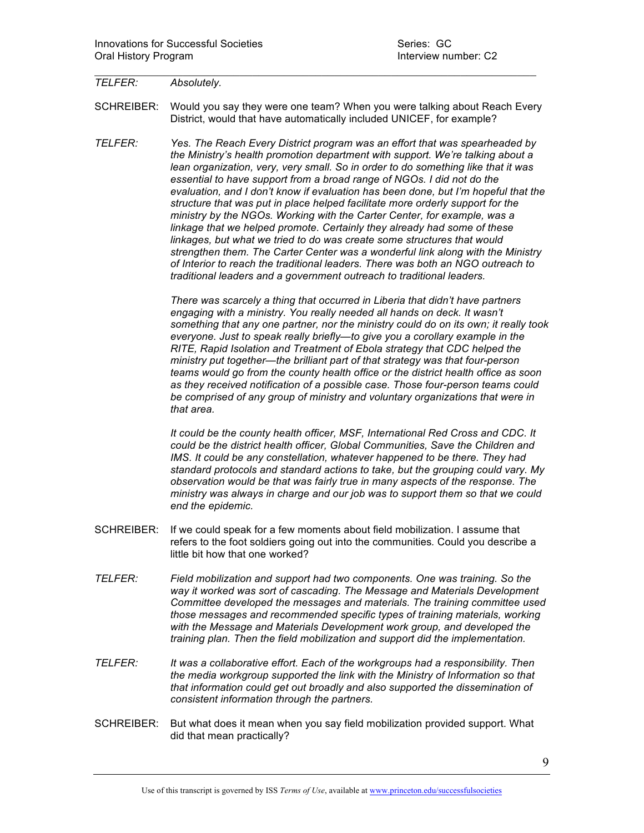## *TELFER: Absolutely.*

SCHREIBER: Would you say they were one team? When you were talking about Reach Every District, would that have automatically included UNICEF, for example?

 $\mathcal{L}_\text{max}$  and  $\mathcal{L}_\text{max}$  and  $\mathcal{L}_\text{max}$  and  $\mathcal{L}_\text{max}$  and  $\mathcal{L}_\text{max}$  and  $\mathcal{L}_\text{max}$ 

*TELFER: Yes. The Reach Every District program was an effort that was spearheaded by the Ministry's health promotion department with support. We're talking about a lean organization, very, very small. So in order to do something like that it was essential to have support from a broad range of NGOs. I did not do the evaluation, and I don't know if evaluation has been done, but I'm hopeful that the structure that was put in place helped facilitate more orderly support for the ministry by the NGOs. Working with the Carter Center, for example, was a linkage that we helped promote. Certainly they already had some of these linkages, but what we tried to do was create some structures that would strengthen them. The Carter Center was a wonderful link along with the Ministry of Interior to reach the traditional leaders. There was both an NGO outreach to traditional leaders and a government outreach to traditional leaders.* 

> *There was scarcely a thing that occurred in Liberia that didn't have partners*  engaging with a ministry. You really needed all hands on deck. It wasn't *something that any one partner, nor the ministry could do on its own; it really took everyone. Just to speak really briefly—to give you a corollary example in the RITE, Rapid Isolation and Treatment of Ebola strategy that CDC helped the ministry put together—the brilliant part of that strategy was that four-person teams would go from the county health office or the district health office as soon as they received notification of a possible case. Those four-person teams could be comprised of any group of ministry and voluntary organizations that were in that area.*

*It could be the county health officer, MSF, International Red Cross and CDC. It could be the district health officer, Global Communities, Save the Children and IMS. It could be any constellation, whatever happened to be there. They had standard protocols and standard actions to take, but the grouping could vary. My observation would be that was fairly true in many aspects of the response. The ministry was always in charge and our job was to support them so that we could end the epidemic.* 

- SCHREIBER: If we could speak for a few moments about field mobilization. I assume that refers to the foot soldiers going out into the communities*.* Could you describe a little bit how that one worked?
- *TELFER: Field mobilization and support had two components. One was training. So the way it worked was sort of cascading. The Message and Materials Development Committee developed the messages and materials. The training committee used those messages and recommended specific types of training materials, working with the Message and Materials Development work group, and developed the training plan. Then the field mobilization and support did the implementation.*
- *TELFER: It was a collaborative effort. Each of the workgroups had a responsibility. Then the media workgroup supported the link with the Ministry of Information so that that information could get out broadly and also supported the dissemination of consistent information through the partners.*
- SCHREIBER: But what does it mean when you say field mobilization provided support. What did that mean practically?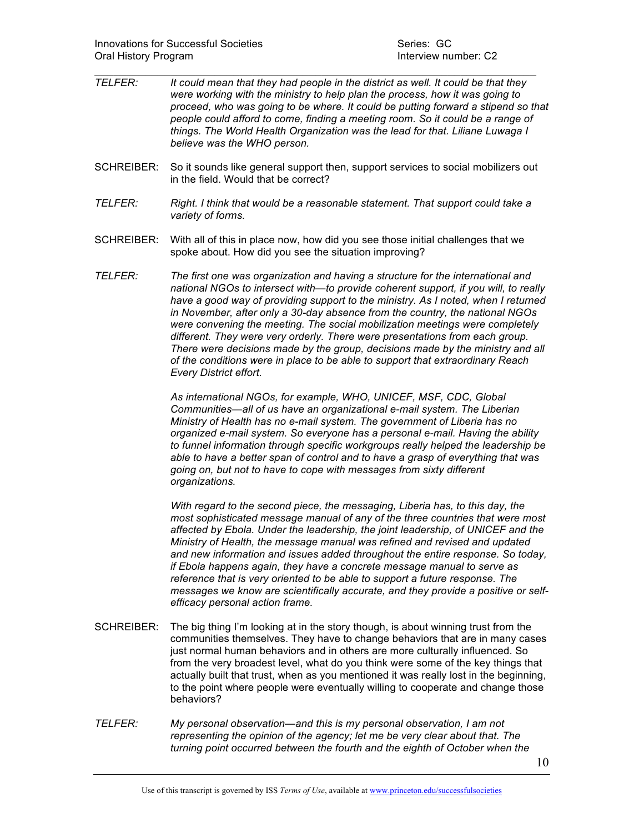- $\mathcal{L}_\text{max}$  and  $\mathcal{L}_\text{max}$  and  $\mathcal{L}_\text{max}$  and  $\mathcal{L}_\text{max}$  and  $\mathcal{L}_\text{max}$  and  $\mathcal{L}_\text{max}$ *TELFER: It could mean that they had people in the district as well. It could be that they were working with the ministry to help plan the process, how it was going to proceed, who was going to be where. It could be putting forward a stipend so that people could afford to come, finding a meeting room. So it could be a range of things. The World Health Organization was the lead for that. Liliane Luwaga I believe was the WHO person.*
- SCHREIBER: So it sounds like general support then, support services to social mobilizers out in the field. Would that be correct?
- *TELFER: Right. I think that would be a reasonable statement. That support could take a variety of forms.*
- SCHREIBER: With all of this in place now, how did you see those initial challenges that we spoke about. How did you see the situation improving?
- *TELFER: The first one was organization and having a structure for the international and national NGOs to intersect with—to provide coherent support, if you will, to really*  have a good way of providing support to the ministry. As I noted, when I returned *in November, after only a 30-day absence from the country, the national NGOs were convening the meeting. The social mobilization meetings were completely different. They were very orderly. There were presentations from each group. There were decisions made by the group, decisions made by the ministry and all of the conditions were in place to be able to support that extraordinary Reach Every District effort.*

 *As international NGOs, for example, WHO, UNICEF, MSF, CDC, Global Communities—all of us have an organizational e-mail system. The Liberian Ministry of Health has no e-mail system. The government of Liberia has no organized e-mail system. So everyone has a personal e-mail. Having the ability to funnel information through specific workgroups really helped the leadership be able to have a better span of control and to have a grasp of everything that was going on, but not to have to cope with messages from sixty different organizations.*

 *With regard to the second piece, the messaging, Liberia has, to this day, the most sophisticated message manual of any of the three countries that were most affected by Ebola. Under the leadership, the joint leadership, of UNICEF and the Ministry of Health, the message manual was refined and revised and updated and new information and issues added throughout the entire response. So today, if Ebola happens again, they have a concrete message manual to serve as reference that is very oriented to be able to support a future response. The messages we know are scientifically accurate, and they provide a positive or selfefficacy personal action frame.* 

- SCHREIBER: The big thing I'm looking at in the story though, is about winning trust from the communities themselves. They have to change behaviors that are in many cases just normal human behaviors and in others are more culturally influenced. So from the very broadest level, what do you think were some of the key things that actually built that trust, when as you mentioned it was really lost in the beginning, to the point where people were eventually willing to cooperate and change those behaviors?
- *TELFER: My personal observation—and this is my personal observation, I am not representing the opinion of the agency; let me be very clear about that. The turning point occurred between the fourth and the eighth of October when the*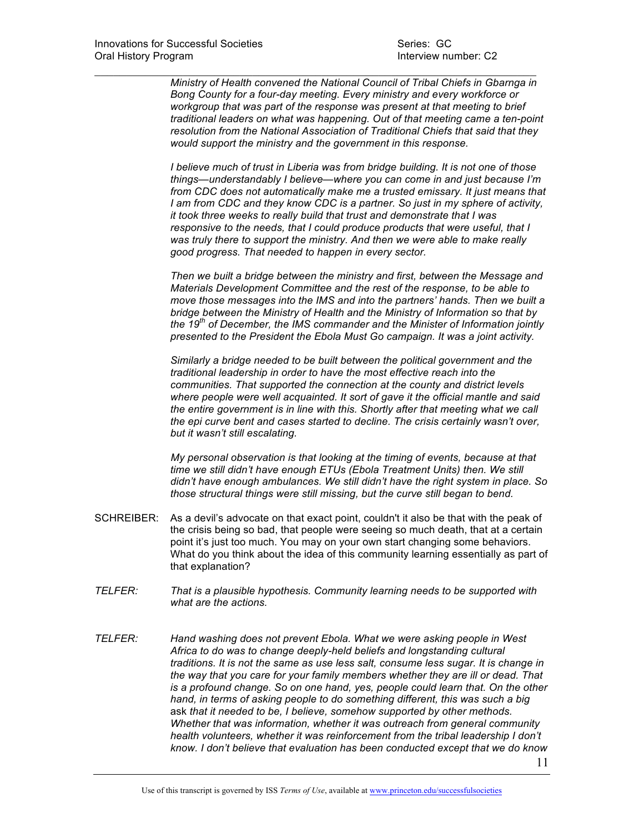*Ministry of Health convened the National Council of Tribal Chiefs in Gbarnga in Bong County for a four-day meeting. Every ministry and every workforce or workgroup that was part of the response was present at that meeting to brief traditional leaders on what was happening. Out of that meeting came a ten-point resolution from the National Association of Traditional Chiefs that said that they would support the ministry and the government in this response.* 

 $\mathcal{L}_\text{max}$  and  $\mathcal{L}_\text{max}$  and  $\mathcal{L}_\text{max}$  and  $\mathcal{L}_\text{max}$  and  $\mathcal{L}_\text{max}$  and  $\mathcal{L}_\text{max}$ 

*I believe much of trust in Liberia was from bridge building. It is not one of those things—understandably I believe—where you can come in and just because I'm from CDC does not automatically make me a trusted emissary. It just means that I am from CDC and they know CDC is a partner. So just in my sphere of activity, it took three weeks to really build that trust and demonstrate that I was responsive to the needs, that I could produce products that were useful, that I was truly there to support the ministry. And then we were able to make really good progress. That needed to happen in every sector.* 

*Then we built a bridge between the ministry and first, between the Message and Materials Development Committee and the rest of the response, to be able to move those messages into the IMS and into the partners' hands. Then we built a bridge between the Ministry of Health and the Ministry of Information so that by the 19th of December, the IMS commander and the Minister of Information jointly presented to the President the Ebola Must Go campaign. It was a joint activity.* 

*Similarly a bridge needed to be built between the political government and the traditional leadership in order to have the most effective reach into the communities. That supported the connection at the county and district levels where people were well acquainted. It sort of gave it the official mantle and said the entire government is in line with this. Shortly after that meeting what we call the epi curve bent and cases started to decline. The crisis certainly wasn't over, but it wasn't still escalating.*

 *My personal observation is that looking at the timing of events, because at that time we still didn't have enough ETUs (Ebola Treatment Units) then. We still didn't have enough ambulances. We still didn't have the right system in place. So those structural things were still missing, but the curve still began to bend.* 

- SCHREIBER: As a devil's advocate on that exact point, couldn't it also be that with the peak of the crisis being so bad, that people were seeing so much death, that at a certain point it's just too much. You may on your own start changing some behaviors. What do you think about the idea of this community learning essentially as part of that explanation?
- *TELFER: That is a plausible hypothesis. Community learning needs to be supported with what are the actions.*
- *TELFER: Hand washing does not prevent Ebola. What we were asking people in West Africa to do was to change deeply-held beliefs and longstanding cultural traditions. It is not the same as use less salt, consume less sugar. It is change in the way that you care for your family members whether they are ill or dead. That is a profound change. So on one hand, yes, people could learn that. On the other hand, in terms of asking people to do something different, this was such a big*  ask *that it needed to be, I believe, somehow supported by other methods. Whether that was information, whether it was outreach from general community health volunteers, whether it was reinforcement from the tribal leadership I don't know. I don't believe that evaluation has been conducted except that we do know*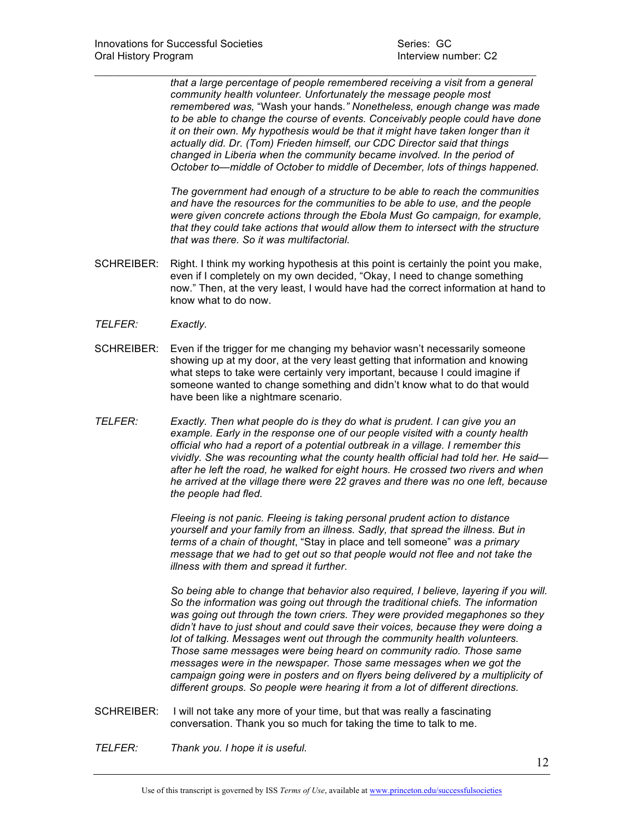*that a large percentage of people remembered receiving a visit from a general community health volunteer. Unfortunately the message people most remembered was,* "Wash your hands*." Nonetheless, enough change was made to be able to change the course of events. Conceivably people could have done it on their own. My hypothesis would be that it might have taken longer than it actually did. Dr. (Tom) Frieden himself, our CDC Director said that things changed in Liberia when the community became involved. In the period of October to—middle of October to middle of December, lots of things happened.* 

*The government had enough of a structure to be able to reach the communities and have the resources for the communities to be able to use, and the people were given concrete actions through the Ebola Must Go campaign, for example, that they could take actions that would allow them to intersect with the structure that was there. So it was multifactorial.*

SCHREIBER: Right. I think my working hypothesis at this point is certainly the point you make, even if I completely on my own decided, "Okay, I need to change something now." Then, at the very least, I would have had the correct information at hand to know what to do now.

 $\mathcal{L}_\text{max}$  and  $\mathcal{L}_\text{max}$  and  $\mathcal{L}_\text{max}$  and  $\mathcal{L}_\text{max}$  and  $\mathcal{L}_\text{max}$  and  $\mathcal{L}_\text{max}$ 

- *TELFER: Exactly.*
- SCHREIBER: Even if the trigger for me changing my behavior wasn't necessarily someone showing up at my door, at the very least getting that information and knowing what steps to take were certainly very important, because I could imagine if someone wanted to change something and didn't know what to do that would have been like a nightmare scenario.
- *TELFER: Exactly. Then what people do is they do what is prudent. I can give you an example. Early in the response one of our people visited with a county health official who had a report of a potential outbreak in a village. I remember this vividly. She was recounting what the county health official had told her. He said after he left the road, he walked for eight hours. He crossed two rivers and when he arrived at the village there were 22 graves and there was no one left, because the people had fled.*

 *Fleeing is not panic. Fleeing is taking personal prudent action to distance yourself and your family from an illness. Sadly, that spread the illness. But in terms of a chain of thought*, "Stay in place and tell someone" *was a primary message that we had to get out so that people would not flee and not take the illness with them and spread it further.*

 *So being able to change that behavior also required, I believe, layering if you will. So the information was going out through the traditional chiefs. The information was going out through the town criers. They were provided megaphones so they didn't have to just shout and could save their voices, because they were doing a lot of talking. Messages went out through the community health volunteers. Those same messages were being heard on community radio. Those same messages were in the newspaper. Those same messages when we got the campaign going were in posters and on flyers being delivered by a multiplicity of different groups. So people were hearing it from a lot of different directions.* 

- SCHREIBER: I will not take any more of your time, but that was really a fascinating conversation. Thank you so much for taking the time to talk to me.
- *TELFER: Thank you. I hope it is useful.*